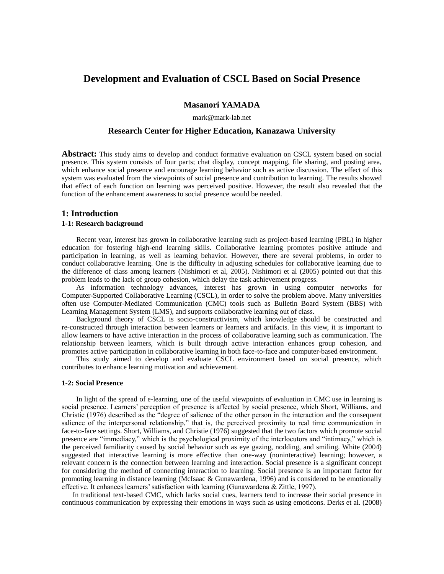# **Development and Evaluation of CSCL Based on Social Presence**

## **Masanori YAMADA**

mark@mark-lab.net

## **Research Center for Higher Education, Kanazawa University**

**Abstract:** This study aims to develop and conduct formative evaluation on CSCL system based on social presence. This system consists of four parts; chat display, concept mapping, file sharing, and posting area, which enhance social presence and encourage learning behavior such as active discussion. The effect of this system was evaluated from the viewpoints of social presence and contribution to learning. The results showed that effect of each function on learning was perceived positive. However, the result also revealed that the function of the enhancement awareness to social presence would be needed.

### **1: Introduction**

### **1-1: Research background**

 Recent year, interest has grown in collaborative learning such as project-based learning (PBL) in higher education for fostering high-end learning skills. Collaborative learning promotes positive attitude and participation in learning, as well as learning behavior. However, there are several problems, in order to conduct collaborative learning. One is the difficulty in adjusting schedules for collaborative learning due to the difference of class among learners (Nishimori et al, 2005). Nishimori et al (2005) pointed out that this problem leads to the lack of group cohesion, which delay the task achievement progress.

As information technology advances, interest has grown in using computer networks for Computer-Supported Collaborative Learning (CSCL), in order to solve the problem above. Many universities often use Computer-Mediated Communication (CMC) tools such as Bulletin Board System (BBS) with Learning Management System (LMS), and supports collaborative learning out of class.

Background theory of CSCL is socio-constructivism, which knowledge should be constructed and re-constructed through interaction between learners or learners and artifacts. In this view, it is important to allow learners to have active interaction in the process of collaborative learning such as communication. The relationship between learners, which is built through active interaction enhances group cohesion, and promotes active participation in collaborative learning in both face-to-face and computer-based environment.

This study aimed to develop and evaluate CSCL environment based on social presence, which contributes to enhance learning motivation and achievement.

### **1-2: Social Presence**

 In light of the spread of e-learning, one of the useful viewpoints of evaluation in CMC use in learning is social presence. Learners' perception of presence is affected by social presence, which Short, Williams, and Christie (1976) described as the "degree of salience of the other person in the interaction and the consequent salience of the interpersonal relationship," that is, the perceived proximity to real time communication in face-to-face settings. Short, Williams, and Christie (1976) suggested that the two factors which promote social presence are "immediacy," which is the psychological proximity of the interlocutors and "intimacy," which is the perceived familiarity caused by social behavior such as eye gazing, nodding, and smiling. White (2004) suggested that interactive learning is more effective than one-way (noninteractive) learning; however, a relevant concern is the connection between learning and interaction. Social presence is a significant concept for considering the method of connecting interaction to learning. Social presence is an important factor for promoting learning in distance learning (McIsaac & Gunawardena, 1996) and is considered to be emotionally effective. It enhances learners' satisfaction with learning (Gunawardena & Zittle, 1997).

 In traditional text-based CMC, which lacks social cues, learners tend to increase their social presence in continuous communication by expressing their emotions in ways such as using emoticons. Derks et al. (2008)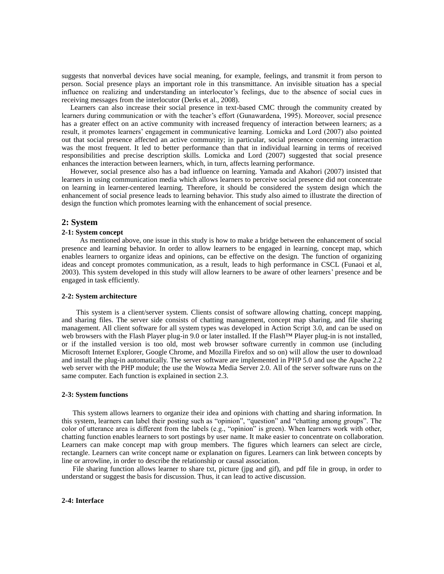suggests that nonverbal devices have social meaning, for example, feelings, and transmit it from person to person. Social presence plays an important role in this transmittance. An invisible situation has a special influence on realizing and understanding an interlocutor's feelings, due to the absence of social cues in receiving messages from the interlocutor (Derks et al., 2008).

Learners can also increase their social presence in text-based CMC through the community created by learners during communication or with the teacher's effort (Gunawardena, 1995). Moreover, social presence has a greater effect on an active community with increased frequency of interaction between learners; as a result, it promotes learners' engagement in communicative learning. Lomicka and Lord (2007) also pointed out that social presence affected an active community; in particular, social presence concerning interaction was the most frequent. It led to better performance than that in individual learning in terms of received responsibilities and precise description skills. Lomicka and Lord (2007) suggested that social presence enhances the interaction between learners, which, in turn, affects learning performance.

However, social presence also has a bad influence on learning. Yamada and Akahori (2007) insisted that learners in using communication media which allows learners to perceive social presence did not concentrate on learning in learner-centered learning. Therefore, it should be considered the system design which the enhancement of social presence leads to learning behavior. This study also aimed to illustrate the direction of design the function which promotes learning with the enhancement of social presence.

### **2: System**

### **2-1: System concept**

As mentioned above, one issue in this study is how to make a bridge between the enhancement of social presence and learning behavior. In order to allow learners to be engaged in learning, concept map, which enables learners to organize ideas and opinions, can be effective on the design. The function of organizing ideas and concept promotes communication, as a result, leads to high performance in CSCL (Funaoi et al, 2003). This system developed in this study will allow learners to be aware of other learners' presence and be engaged in task efficiently.

#### **2-2: System architecture**

This system is a client/server system. Clients consist of software allowing chatting, concept mapping, and sharing files. The server side consists of chatting management, concept map sharing, and file sharing management. All client software for all system types was developed in Action Script 3.0, and can be used on web browsers with the Flash Player plug-in 9.0 or later installed. If the Flash™ Player plug-in is not installed, or if the installed version is too old, most web browser software currently in common use (including Microsoft Internet Explorer, Google Chrome, and Mozilla Firefox and so on) will allow the user to download and install the plug-in automatically. The server software are implemented in PHP 5.0 and use the Apache 2.2 web server with the PHP module; the use the Wowza Media Server 2.0. All of the server software runs on the same computer. Each function is explained in section 2.3.

### **2-3: System functions**

This system allows learners to organize their idea and opinions with chatting and sharing information. In this system, learners can label their posting such as "opinion", "question" and "chatting among groups". The color of utterance area is different from the labels (e.g., "opinion" is green). When learners work with other, chatting function enables learners to sort postings by user name. It make easier to concentrate on collaboration. Learners can make concept map with group members. The figures which learners can select are circle, rectangle. Learners can write concept name or explanation on figures. Learners can link between concepts by line or arrowline, in order to describe the relationship or causal association.

 File sharing function allows learner to share txt, picture (jpg and gif), and pdf file in group, in order to understand or suggest the basis for discussion. Thus, it can lead to active discussion.

#### **2-4: Interface**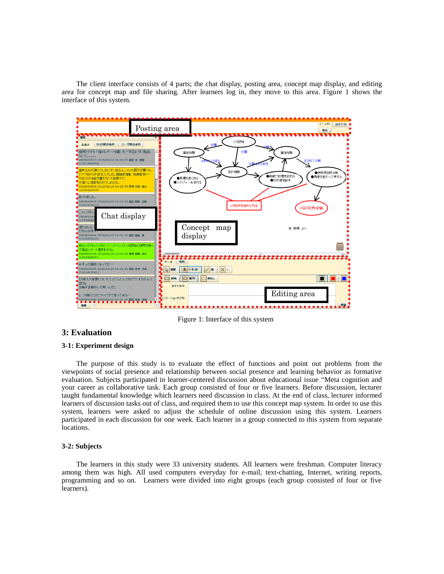The client interface consists of 4 parts; the chat display, posting area, concept map display, and editing area for concept map and file sharing. After learners log in, they move to this area. Figure 1 shows the interface of this system.



Figure 1: Interface of this system

## **3: Evaluation**

### **3-1: Experiment design**

 The purpose of this study is to evaluate the effect of functions and point out problems from the viewpoints of social presence and relationship between social presence and learning behavior as formative evaluation. Subjects participated in learner-centered discussion about educational issue "Meta cognition and your career as collaborative task. Each group consisted of four or five learners. Before discussion, lecturer taught fundamental knowledge which learners need discussion in class. At the end of class, lecturer informed learners of discussion tasks out of class, and required them to use this concept map system. In order to use this system, learners were asked to adjust the schedule of online discussion using this system. Learners participated in each discussion for one week. Each learner in a group connected to this system from separate locations.

## **3-2: Subjects**

 The learners in this study were 33 university students. All learners were freshman. Computer literacy among them was high. All used computers everyday for e-mail, text-chatting, Internet, writing reports, programming and so on. Learners were divided into eight groups (each group consisted of four or five learners).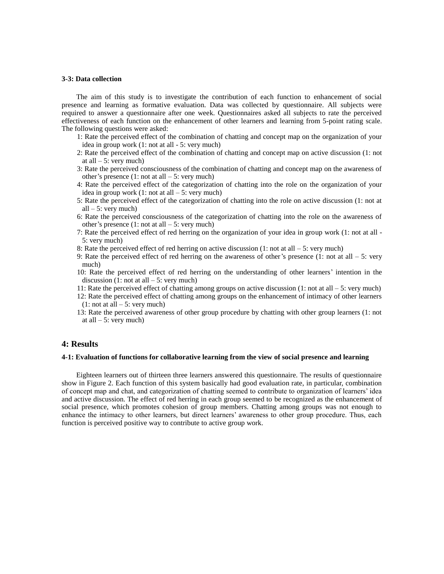#### **3-3: Data collection**

The aim of this study is to investigate the contribution of each function to enhancement of social presence and learning as formative evaluation. Data was collected by questionnaire. All subjects were required to answer a questionnaire after one week. Questionnaires asked all subjects to rate the perceived effectiveness of each function on the enhancement of other learners and learning from 5-point rating scale. The following questions were asked:

- 1: Rate the perceived effect of the combination of chatting and concept map on the organization of your idea in group work (1: not at all - 5: very much)
- 2: Rate the perceived effect of the combination of chatting and concept map on active discussion (1: not at all  $-5$ : very much)
- 3: Rate the perceived consciousness of the combination of chatting and concept map on the awareness of other's presence  $(1: \text{not at all } -5: \text{very much})$
- 4: Rate the perceived effect of the categorization of chatting into the role on the organization of your idea in group work  $(1: \text{not at all } -5: \text{very much})$
- 5: Rate the perceived effect of the categorization of chatting into the role on active discussion (1: not at all  $-5$ : very much)
- 6: Rate the perceived consciousness of the categorization of chatting into the role on the awareness of other's presence  $(1: \text{not at all } -5: \text{very much})$
- 7: Rate the perceived effect of red herring on the organization of your idea in group work (1: not at all 5: very much)
- 8: Rate the perceived effect of red herring on active discussion (1: not at all  $-5$ : very much)
- 9: Rate the perceived effect of red herring on the awareness of other's presence (1: not at all  $-5$ : very much)
- 10: Rate the perceived effect of red herring on the understanding of other learners' intention in the discussion  $(1: \text{not at all } -5: \text{very much})$
- 11: Rate the perceived effect of chatting among groups on active discussion (1: not at all 5: very much)
- 12: Rate the perceived effect of chatting among groups on the enhancement of intimacy of other learners  $(1: \text{not at all } -5: \text{very much})$
- 13: Rate the perceived awareness of other group procedure by chatting with other group learners (1: not at all  $-5$ : very much)

### **4: Results**

### **4-1: Evaluation of functions for collaborative learning from the view of social presence and learning**

 Eighteen learners out of thirteen three learners answered this questionnaire. The results of questionnaire show in Figure 2. Each function of this system basically had good evaluation rate, in particular, combination of concept map and chat, and categorization of chatting seemed to contribute to organization of learners' idea and active discussion. The effect of red herring in each group seemed to be recognized as the enhancement of social presence, which promotes cohesion of group members. Chatting among groups was not enough to enhance the intimacy to other learners, but direct learners' awareness to other group procedure. Thus, each function is perceived positive way to contribute to active group work.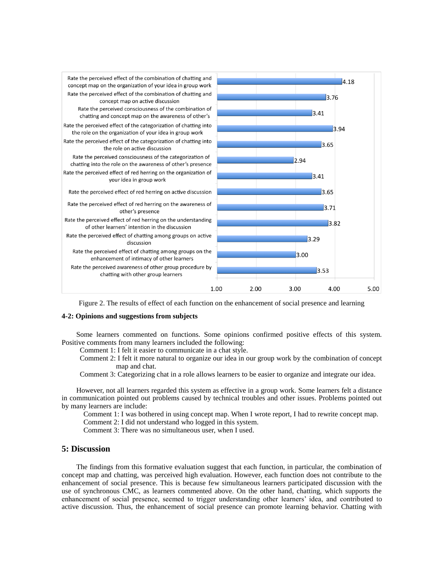

Figure 2. The results of effect of each function on the enhancement of social presence and learning

### **4-2: Opinions and suggestions from subjects**

 Some learners commented on functions. Some opinions confirmed positive effects of this system. Positive comments from many learners included the following:

Comment 1: I felt it easier to communicate in a chat style.

 Comment 2: I felt it more natural to organize our idea in our group work by the combination of concept map and chat.

Comment 3: Categorizing chat in a role allows learners to be easier to organize and integrate our idea.

 However, not all learners regarded this system as effective in a group work. Some learners felt a distance in communication pointed out problems caused by technical troubles and other issues. Problems pointed out by many learners are include:

Comment 1: I was bothered in using concept map. When I wrote report, I had to rewrite concept map.

Comment 2: I did not understand who logged in this system.

Comment 3: There was no simultaneous user, when I used.

## **5: Discussion**

 The findings from this formative evaluation suggest that each function, in particular, the combination of concept map and chatting, was perceived high evaluation. However, each function does not contribute to the enhancement of social presence. This is because few simultaneous learners participated discussion with the use of synchronous CMC, as learners commented above. On the other hand, chatting, which supports the enhancement of social presence, seemed to trigger understanding other learners' idea, and contributed to active discussion. Thus, the enhancement of social presence can promote learning behavior. Chatting with